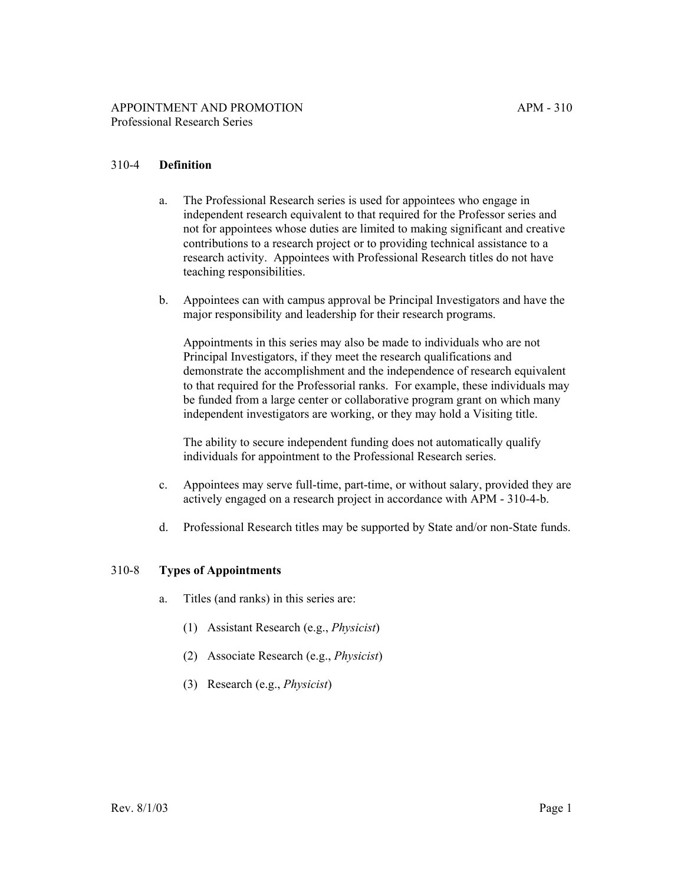## 310-4 **Definition**

- a. The Professional Research series is used for appointees who engage in independent research equivalent to that required for the Professor series and not for appointees whose duties are limited to making significant and creative contributions to a research project or to providing technical assistance to a research activity. Appointees with Professional Research titles do not have teaching responsibilities.
- b. Appointees can with campus approval be Principal Investigators and have the major responsibility and leadership for their research programs.

Appointments in this series may also be made to individuals who are not Principal Investigators, if they meet the research qualifications and demonstrate the accomplishment and the independence of research equivalent to that required for the Professorial ranks. For example, these individuals may be funded from a large center or collaborative program grant on which many independent investigators are working, or they may hold a Visiting title.

The ability to secure independent funding does not automatically qualify individuals for appointment to the Professional Research series.

- c. Appointees may serve full-time, part-time, or without salary, provided they are actively engaged on a research project in accordance with APM - 310-4-b.
- d. Professional Research titles may be supported by State and/or non-State funds.

### 310-8 **Types of Appointments**

- a. Titles (and ranks) in this series are:
	- (1) Assistant Research (e.g., *Physicist*)
	- (2) Associate Research (e.g., *Physicist*)
	- (3) Research (e.g., *Physicist*)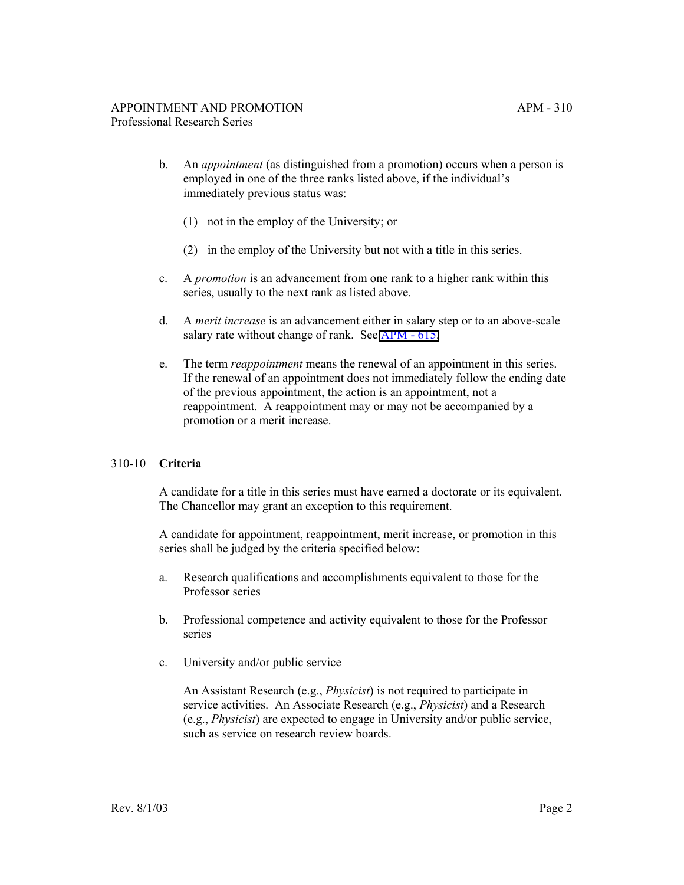- b. An *appointment* (as distinguished from a promotion) occurs when a person is employed in one of the three ranks listed above, if the individual's immediately previous status was:
	- (1) not in the employ of the University; or
	- (2) in the employ of the University but not with a title in this series.
- c. A *promotion* is an advancement from one rank to a higher rank within this series, usually to the next rank as listed above.
- d. A *merit increase* is an advancement either in salary step or to an above-scale salary rate without change of rank. See [APM - 615.](http://ucop.edu/academic-personnel-programs/_files/apm/apm-615.pdf)
- e. The term *reappointment* means the renewal of an appointment in this series. If the renewal of an appointment does not immediately follow the ending date of the previous appointment, the action is an appointment, not a reappointment. A reappointment may or may not be accompanied by a promotion or a merit increase.

### 310-10 **Criteria**

A candidate for a title in this series must have earned a doctorate or its equivalent. The Chancellor may grant an exception to this requirement.

A candidate for appointment, reappointment, merit increase, or promotion in this series shall be judged by the criteria specified below:

- a. Research qualifications and accomplishments equivalent to those for the Professor series
- b. Professional competence and activity equivalent to those for the Professor series
- c. University and/or public service

An Assistant Research (e.g., *Physicist*) is not required to participate in service activities. An Associate Research (e.g., *Physicist*) and a Research (e.g., *Physicist*) are expected to engage in University and/or public service, such as service on research review boards.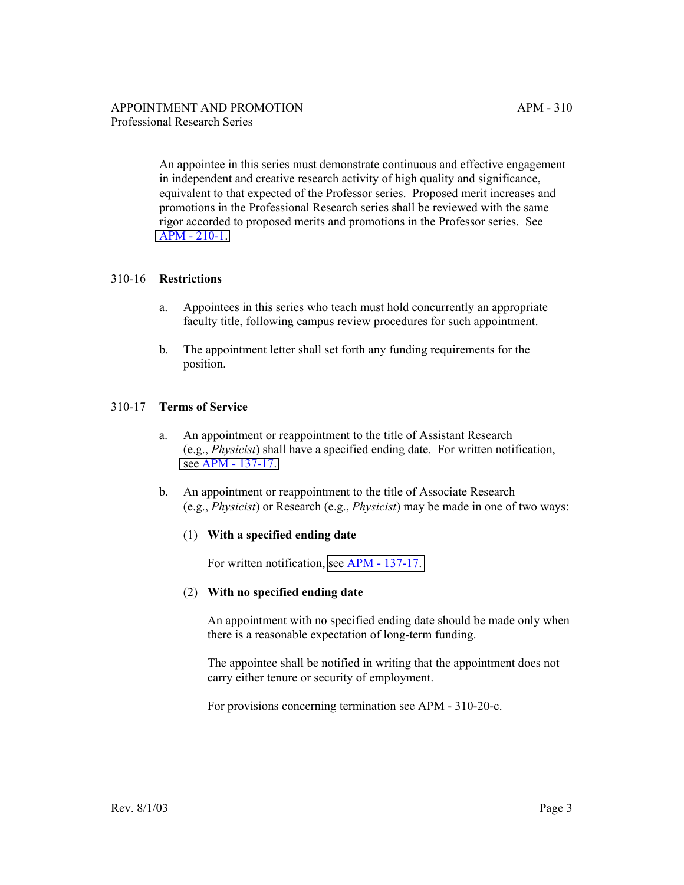An appointee in this series must demonstrate continuous and effective engagement in independent and creative research activity of high quality and significance, equivalent to that expected of the Professor series. Proposed merit increases and promotions in the Professional Research series shall be reviewed with the same rigor accorded to proposed merits and promotions in the Professor series. See [APM - 210-1.](http://ucop.edu/academic-personnel-programs/_files/apm/apm-210.pdf)

### 310-16 **Restrictions**

- a. Appointees in this series who teach must hold concurrently an appropriate faculty title, following campus review procedures for such appointment.
- b. The appointment letter shall set forth any funding requirements for the position.

# 310-17 **Terms of Service**

- a. An appointment or reappointment to the title of Assistant Research (e.g., *Physicist*) shall have a specified ending date. For written notification, [see APM - 137-17.](http://ucop.edu/academic-personnel-programs/_files/apm/apm-137.pdf)
- b. An appointment or reappointment to the title of Associate Research (e.g., *Physicist*) or Research (e.g., *Physicist*) may be made in one of two ways:

### (1) **With a specified ending date**

For written notification, [see APM - 137-17.](http://ucop.edu/academic-personnel-programs/_files/apm/apm-137.pdf)

### (2) **With no specified ending date**

An appointment with no specified ending date should be made only when there is a reasonable expectation of long-term funding.

The appointee shall be notified in writing that the appointment does not carry either tenure or security of employment.

For provisions concerning termination see APM - 310-20-c.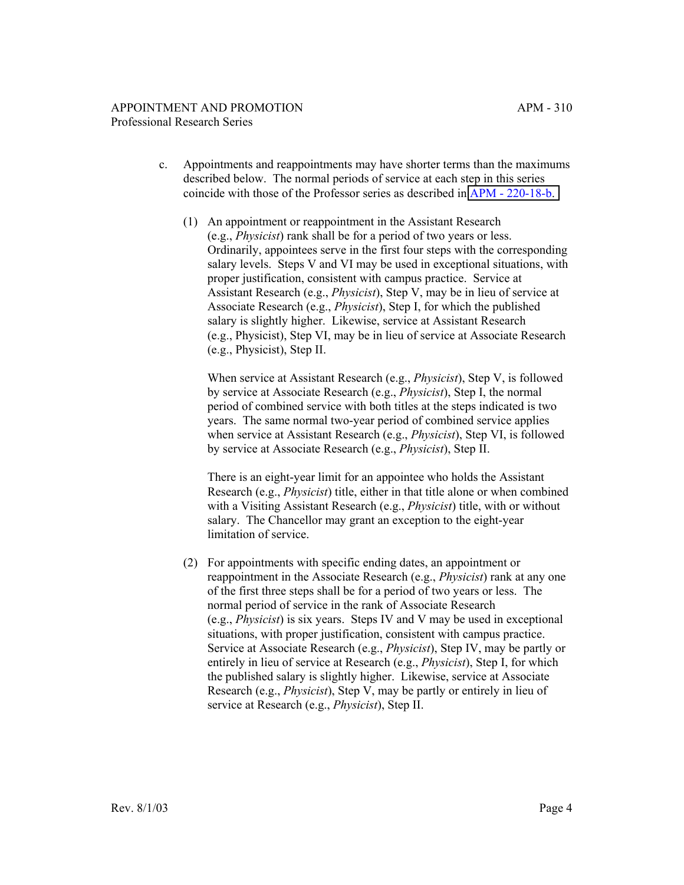- c. Appointments and reappointments may have shorter terms than the maximums described below. The normal periods of service at each step in this series coincide with those of the Professor series as described in [APM - 220-18-b.](http://ucop.edu/academic-personnel-programs/_files/apm/apm-220.pdf)
	- (1) An appointment or reappointment in the Assistant Research (e.g., *Physicist*) rank shall be for a period of two years or less. Ordinarily, appointees serve in the first four steps with the corresponding salary levels. Steps V and VI may be used in exceptional situations, with proper justification, consistent with campus practice. Service at Assistant Research (e.g., *Physicist*), Step V, may be in lieu of service at Associate Research (e.g., *Physicist*), Step I, for which the published salary is slightly higher. Likewise, service at Assistant Research (e.g., Physicist), Step VI, may be in lieu of service at Associate Research (e.g., Physicist), Step II.

When service at Assistant Research (e.g., *Physicist*), Step V, is followed by service at Associate Research (e.g., *Physicist*), Step I, the normal period of combined service with both titles at the steps indicated is two years. The same normal two-year period of combined service applies when service at Assistant Research (e.g., *Physicist*), Step VI, is followed by service at Associate Research (e.g., *Physicist*), Step II.

There is an eight-year limit for an appointee who holds the Assistant Research (e.g., *Physicist*) title, either in that title alone or when combined with a Visiting Assistant Research (e.g., *Physicist*) title, with or without salary. The Chancellor may grant an exception to the eight-year limitation of service.

(2) For appointments with specific ending dates, an appointment or reappointment in the Associate Research (e.g., *Physicist*) rank at any one of the first three steps shall be for a period of two years or less. The normal period of service in the rank of Associate Research (e.g., *Physicist*) is six years. Steps IV and V may be used in exceptional situations, with proper justification, consistent with campus practice. Service at Associate Research (e.g., *Physicist*), Step IV, may be partly or entirely in lieu of service at Research (e.g., *Physicist*), Step I, for which the published salary is slightly higher. Likewise, service at Associate Research (e.g., *Physicist*), Step V, may be partly or entirely in lieu of service at Research (e.g., *Physicist*), Step II.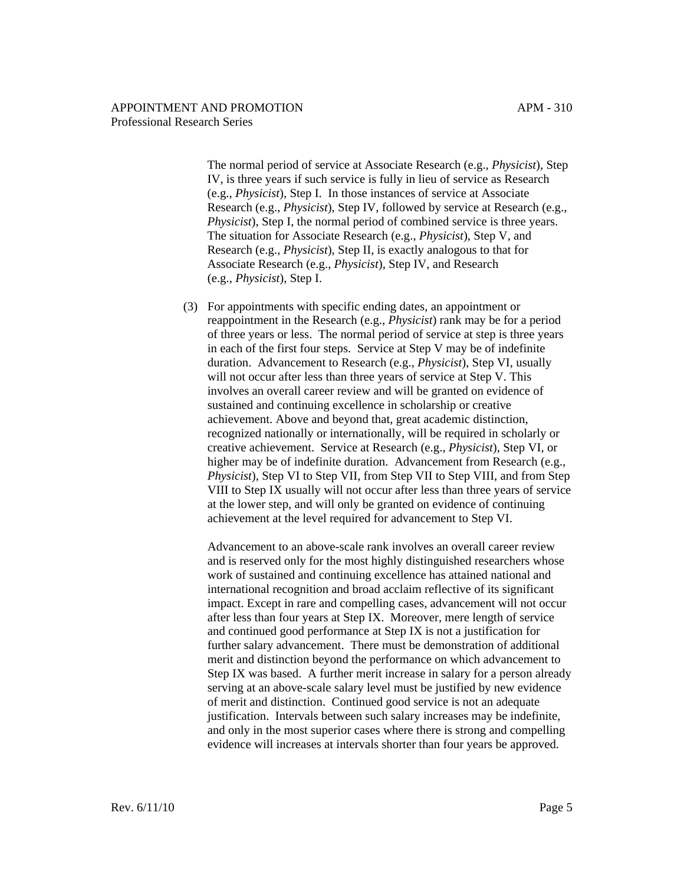#### APPOINTMENT AND PROMOTION APM - 310 Professional Research Series

The normal period of service at Associate Research (e.g., *Physicist*), Step IV, is three years if such service is fully in lieu of service as Research (e.g., *Physicist*), Step I. In those instances of service at Associate Research (e.g., *Physicist*), Step IV, followed by service at Research (e.g., *Physicist*), Step I, the normal period of combined service is three years. The situation for Associate Research (e.g., *Physicist*), Step V, and Research (e.g., *Physicist*), Step II, is exactly analogous to that for Associate Research (e.g., *Physicist*), Step IV, and Research (e.g., *Physicist*), Step I.

(3) For appointments with specific ending dates, an appointment or reappointment in the Research (e.g., *Physicist*) rank may be for a period of three years or less. The normal period of service at step is three years in each of the first four steps. Service at Step V may be of indefinite duration. Advancement to Research (e.g., *Physicist*), Step VI, usually will not occur after less than three years of service at Step V. This involves an overall career review and will be granted on evidence of sustained and continuing excellence in scholarship or creative achievement. Above and beyond that, great academic distinction, recognized nationally or internationally, will be required in scholarly or creative achievement. Service at Research (e.g., *Physicist*), Step VI, or higher may be of indefinite duration. Advancement from Research (e.g., *Physicist*), Step VI to Step VII, from Step VII to Step VIII, and from Step VIII to Step IX usually will not occur after less than three years of service at the lower step, and will only be granted on evidence of continuing achievement at the level required for advancement to Step VI.

Advancement to an above-scale rank involves an overall career review and is reserved only for the most highly distinguished researchers whose work of sustained and continuing excellence has attained national and international recognition and broad acclaim reflective of its significant impact. Except in rare and compelling cases, advancement will not occur after less than four years at Step IX. Moreover, mere length of service and continued good performance at Step IX is not a justification for further salary advancement. There must be demonstration of additional merit and distinction beyond the performance on which advancement to Step IX was based. A further merit increase in salary for a person already serving at an above-scale salary level must be justified by new evidence of merit and distinction. Continued good service is not an adequate justification. Intervals between such salary increases may be indefinite, and only in the most superior cases where there is strong and compelling evidence will increases at intervals shorter than four years be approved.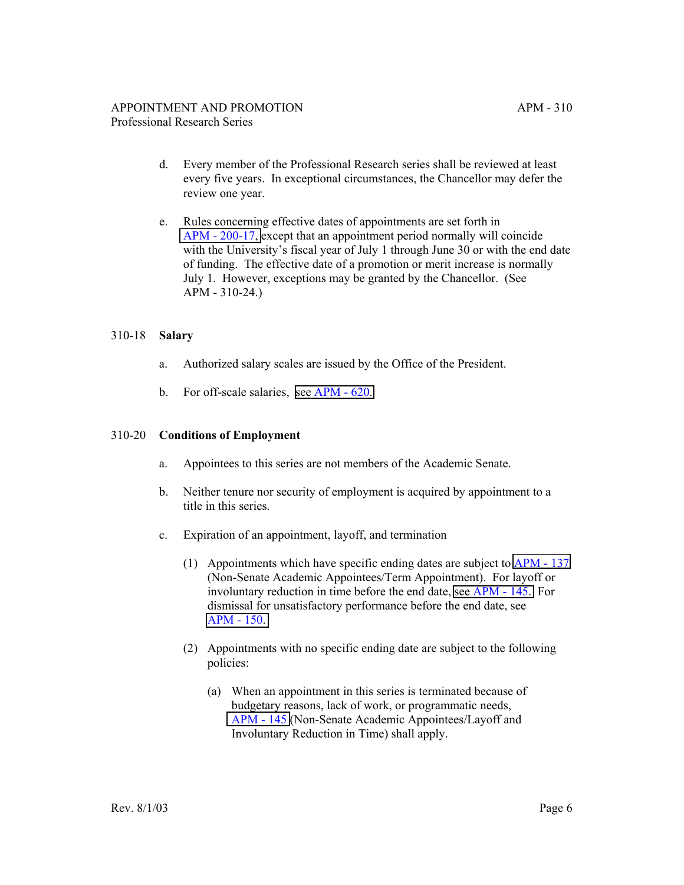- d. Every member of the Professional Research series shall be reviewed at least every five years. In exceptional circumstances, the Chancellor may defer the review one year.
- e. Rules concerning effective dates of appointments are set forth in [APM - 200-17, e](http://ucop.edu/academic-personnel-programs/_files/apm/apm-200.pdf)xcept that an appointment period normally will coincide with the University's fiscal year of July 1 through June 30 or with the end date of funding. The effective date of a promotion or merit increase is normally July 1. However, exceptions may be granted by the Chancellor. (See APM - 310-24.)

### 310-18 **Salary**

- a. Authorized salary scales are issued by the Office of the President.
- b. For off-scale salaries, [see APM 620.](http://ucop.edu/academic-personnel-programs/_files/apm/apm-620.pdf)

#### 310-20 **Conditions of Employment**

- a. Appointees to this series are not members of the Academic Senate.
- b. Neither tenure nor security of employment is acquired by appointment to a title in this series.
- c. Expiration of an appointment, layoff, and termination
	- (1) Appointments which have specific ending dates are subject to [APM 137](http://ucop.edu/academic-personnel-programs/_files/apm/apm-137.pdf) (Non-Senate Academic Appointees/Term Appointment). For layoff or involuntary reduction in time before the end date, [see APM - 145.](http://ucop.edu/academic-personnel-programs/_files/apm/apm-145.pdf) For dismissal for unsatisfactory performance before the end date, see [APM - 150.](http://ucop.edu/academic-personnel-programs/_files/apm/apm-150.pdf)
	- (2) Appointments with no specific ending date are subject to the following policies:
		- (a) When an appointment in this series is terminated because of budgetary reasons, lack of work, or programmatic needs, [APM - 145](http://ucop.edu/academic-personnel-programs/_files/apm/apm-145.pdf) (Non-Senate Academic Appointees/Layoff and Involuntary Reduction in Time) shall apply.